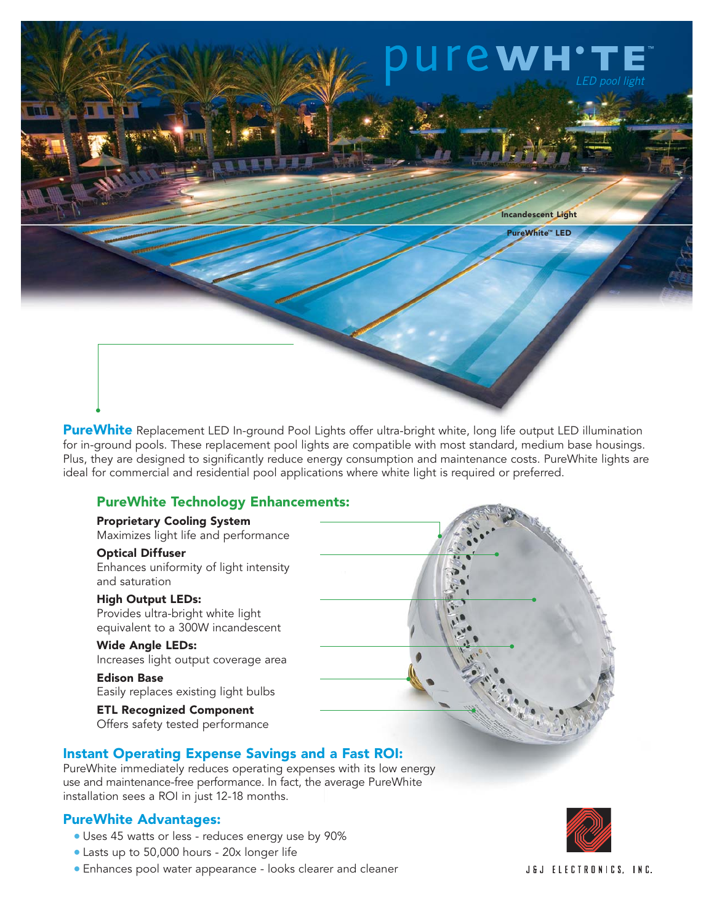

**PureWhite** Replacement LED In-ground Pool Lights offer ultra-bright white, long life output LED illumination for in-ground pools. These replacement pool lights are compatible with most standard, medium base housings. Plus, they are designed to significantly reduce energy consumption and maintenance costs. PureWhite lights are ideal for commercial and residential pool applications where white light is required or preferred.

### PureWhite Technology Enhancements:

#### Proprietary Cooling System Maximizes light life and performance

Optical Diffuser Enhances uniformity of light intensity

and saturation

High Output LEDs: Provides ultra-bright white light equivalent to a 300W incandescent

Wide Angle LEDs: Increases light output coverage area

Edison Base Easily replaces existing light bulbs

ETL Recognized Component Offers safety tested performance



# Instant Operating Expense Savings and a Fast ROI:

PureWhite immediately reduces operating expenses with its low energy use and maintenance-free performance. In fact, the average PureWhite installation sees a ROI in just 12-18 months.

### PureWhite Advantages:

- Uses 45 watts or less reduces energy use by 90%
- Lasts up to 50,000 hours 20x longer life
- Enhances pool water appearance looks clearer and cleaner



J&J ELECTRONICS, INC.